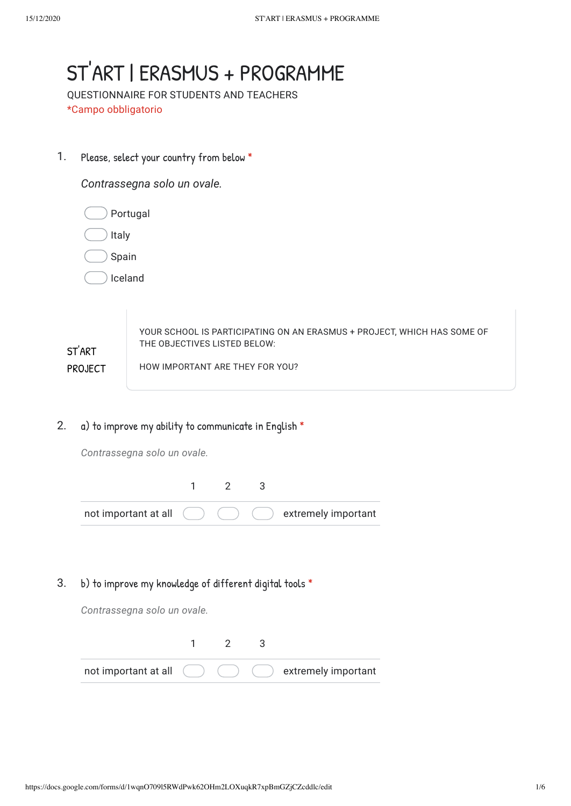## 1. *Contrassegna solo un ovale.* Portugal Italy Spain Iceland ST'ART PROJECT YOUR SCHOOL IS PARTICIPATING ON AN ERASMUS + PROJECT, WHICH HAS SOME OF THE OBJECTIVES LISTED BELOW: HOW IMPORTANT ARE THEY FOR YOU? ST'ART | ERASMUS + PROGRAMME QUESTIONNAIRE FOR STUDENTS AND TEACHERS \*Campo obbligatorio Please, select your country from below \*

2. a) to improve my ability to communicate in English \*

*Contrassegna solo un ovale.*

| not important at all $($ $)$ |  | $($ $)$ $($ $)$ extremely important |
|------------------------------|--|-------------------------------------|

3. b) to improve my knowledge of different digital tools \*

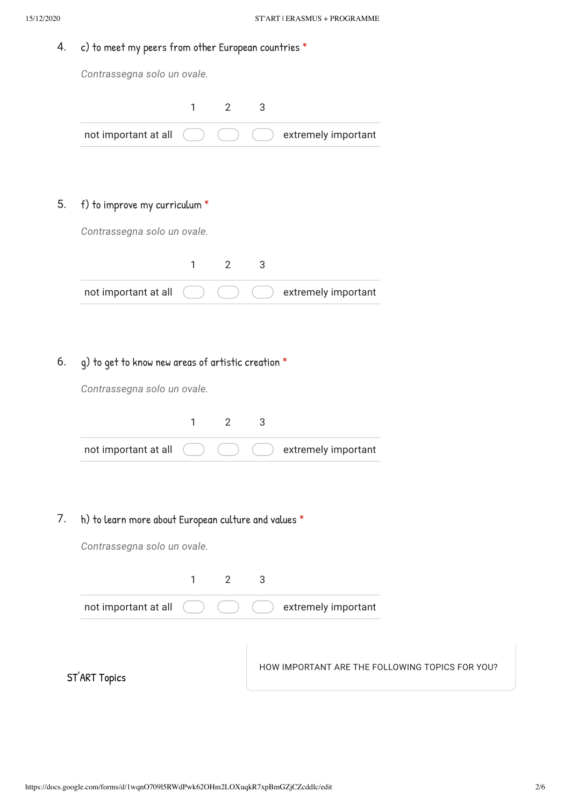### 4. c) to meet my peers from other European countries \*

*Contrassegna solo un ovale.*

| not important at all |  | extremely important |
|----------------------|--|---------------------|

### 5. f) to improve my curriculum \*

*Contrassegna solo un ovale.*

| not important at all $($ $)$ |  | $( )$ $( )$ extremely important |
|------------------------------|--|---------------------------------|

## 6. g) to get to know new areas of artistic creation \*

*Contrassegna solo un ovale.*

| not important at all ( |  | $\left( \begin{array}{c} \end{array} \right)$ ( $\left( \begin{array}{c} \end{array} \right)$ extremely important |
|------------------------|--|-------------------------------------------------------------------------------------------------------------------|

## 7. h) to learn more about European culture and values \*

*Contrassegna solo un ovale.*

not important at all 1 2 3 extremely important

ST'ART Topics

HOW IMPORTANT ARE THE FOLLOWING TOPICS FOR YOU?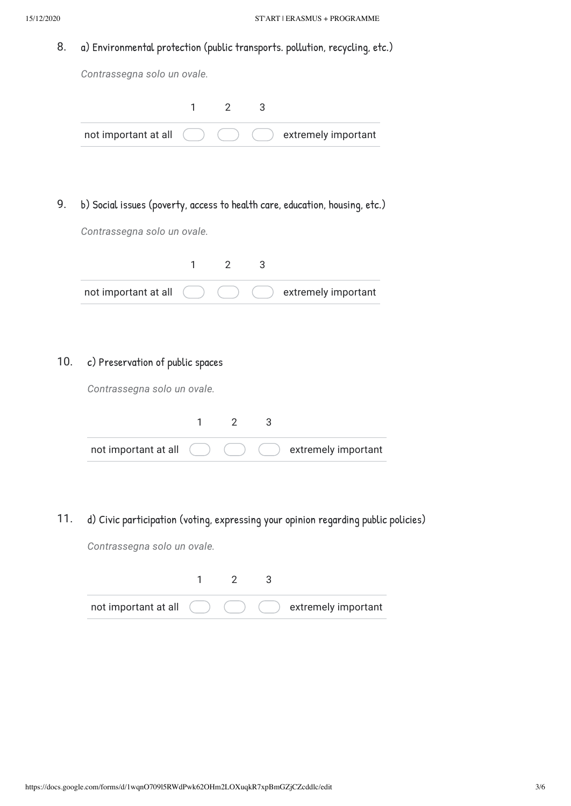8. a) Environmental protection (public transports. pollution, recycling, etc.)

*Contrassegna solo un ovale.*

| not important at all $($ |  | extremely important |
|--------------------------|--|---------------------|

9. b) Social issues (poverty, access to health care, education, housing, etc.)

*Contrassegna solo un ovale.*

|  |  | not important at all $( ) ( ) ( )$ (bettermely important |
|--|--|----------------------------------------------------------|

## 10. c) Preservation of public spaces

*Contrassegna solo un ovale.*

| not important at all |  | $\bigcup$ $\bigcup$ extremely important |
|----------------------|--|-----------------------------------------|

11. d) Civic participation (voting, expressing your opinion regarding public policies)

| not important at all ( |  | extremely important |
|------------------------|--|---------------------|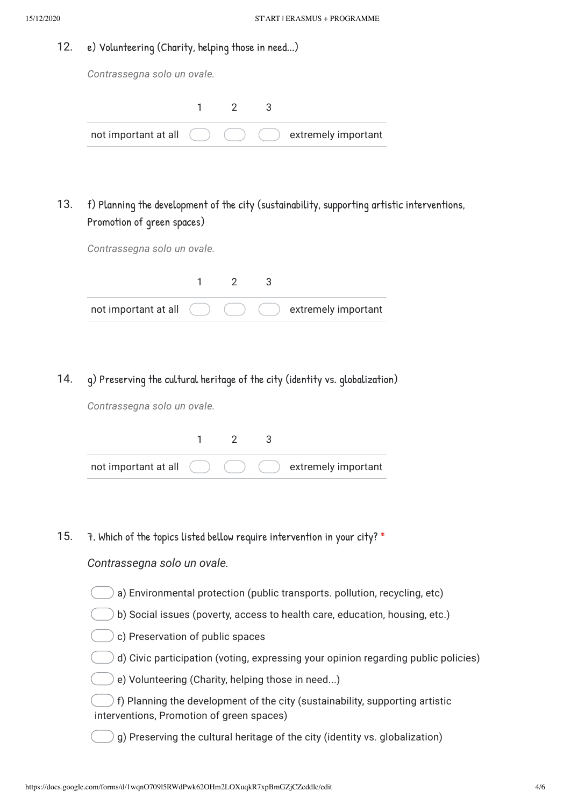#### 12. e) Volunteering (Charity, helping those in need...)

*Contrassegna solo un ovale.*

| not important at all $\qquad \qquad$ |  | $( )$ $( )$ extremely important |
|--------------------------------------|--|---------------------------------|

### 13. f) Planning the development of the city (sustainability, supporting artistic interventions, Promotion of green spaces)

*Contrassegna solo un ovale.*

| not important at all $\qquad \qquad$ |  | $($ ) extremely important |
|--------------------------------------|--|---------------------------|

14. g) Preserving the cultural heritage of the city (identity vs. globalization)

*Contrassegna solo un ovale.*

| not important at all ( |  | $($ $)$ $($ $)$ extremely important |
|------------------------|--|-------------------------------------|

15. 7. Which of the topics listed bellow require intervention in your city? \*

- a) Environmental protection (public transports. pollution, recycling, etc)
- b) Social issues (poverty, access to health care, education, housing, etc.)
- c) Preservation of public spaces
- d) Civic participation (voting, expressing your opinion regarding public policies)
- e) Volunteering (Charity, helping those in need...)
- f) Planning the development of the city (sustainability, supporting artistic interventions, Promotion of green spaces)
- g) Preserving the cultural heritage of the city (identity vs. globalization)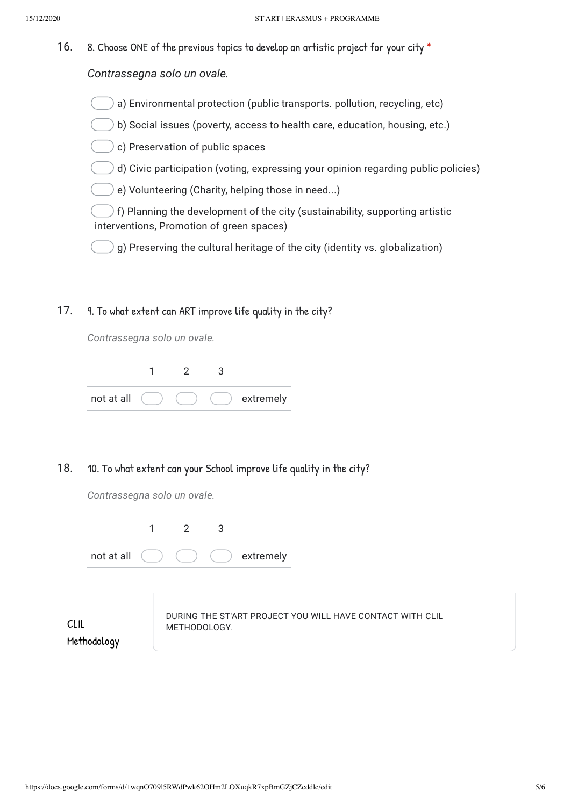16. 8. Choose ONE of the previous topics to develop an artistic project for your city \*

*Contrassegna solo un ovale.*

- a) Environmental protection (public transports. pollution, recycling, etc)
- b) Social issues (poverty, access to health care, education, housing, etc.)
- c) Preservation of public spaces
- d) Civic participation (voting, expressing your opinion regarding public policies)
- e) Volunteering (Charity, helping those in need...)

) f) Planning the development of the city (sustainability, supporting artistic interventions, Promotion of green spaces)

 $\bigcirc$  g) Preserving the cultural heritage of the city (identity vs. globalization)

17. 9. To what extent can ART improve life quality in the city?

*Contrassegna solo un ovale.*

| not at all |  | extremely |
|------------|--|-----------|

#### 18. 10. To what extent can your School improve life quality in the city?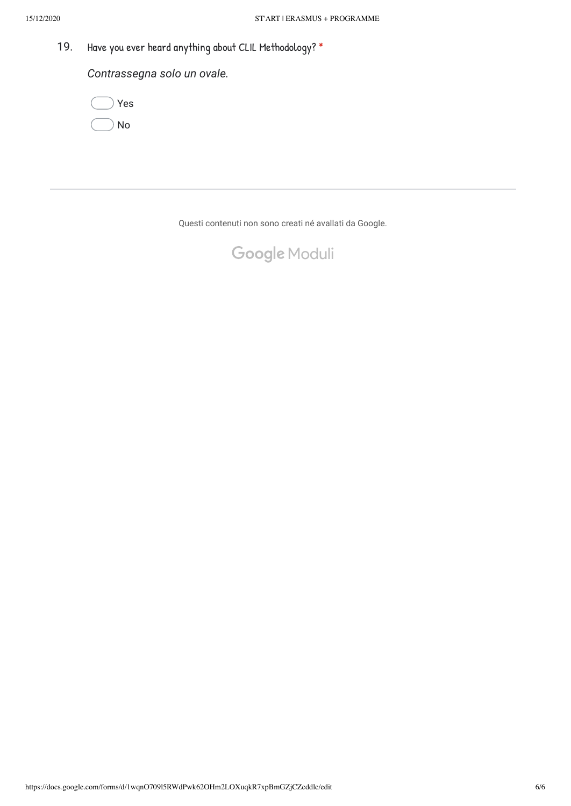19. Have you ever heard anything about CLIL Methodology? \*

*Contrassegna solo un ovale.*



Questi contenuti non sono creati né avallati da Google.

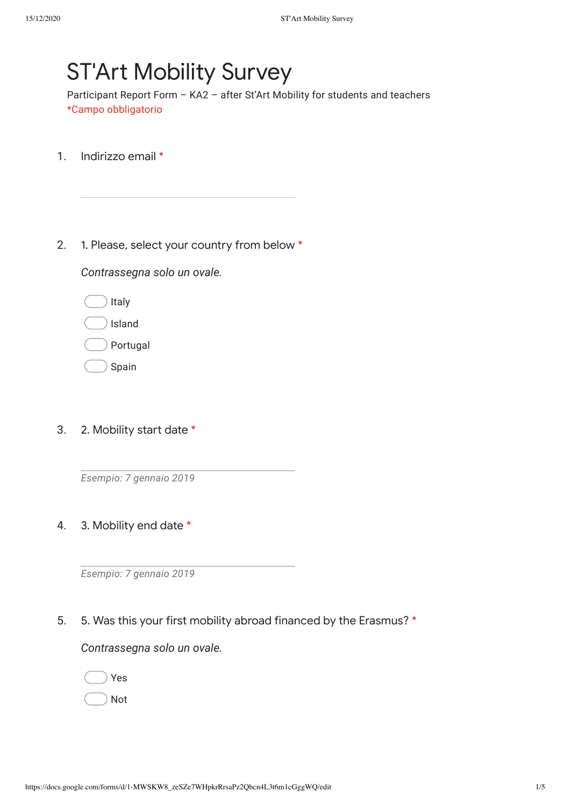# **ST'Art Mobility Survey**

Participant Report Form – KA2 – after St'Art Mobility for students and teachers \*Campo obbligatorio

- 1. Indirizzo email \*
- 2. 1. Please, select your country from below \*

*Contrassegna solo un ovale.*

Italy

Island

Portugal

Spain

3. 2. Mobility start date \*

*Esempio: 7 gennaio 2019*

4. 3. Mobility end date \*

*Esempio: 7 gennaio 2019*

5. 5. Was this your first mobility abroad financed by the Erasmus? \*

*Contrassegna solo un ovale.*

Not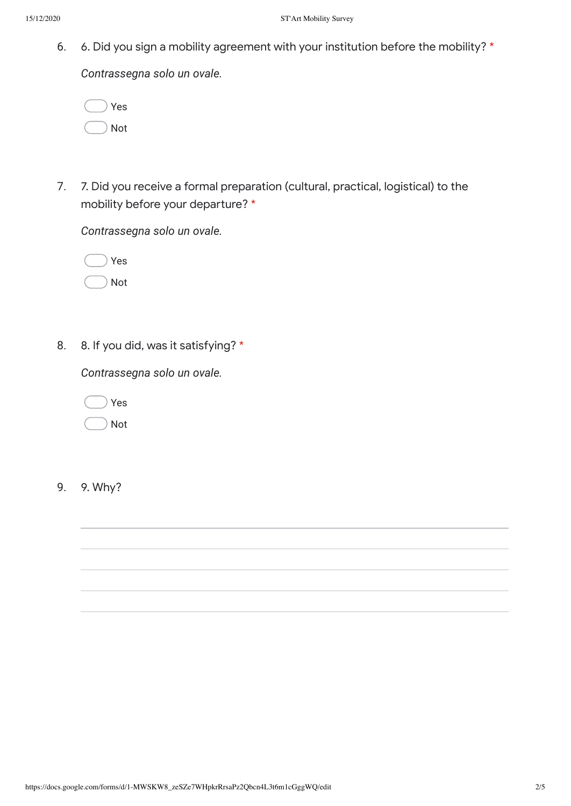6. 6. Did you sign a mobility agreement with your institution before the mobility? \*

*Contrassegna solo un ovale.*

|  | Yes |
|--|-----|
|  | Not |

7. 7. Did you receive a formal preparation (cultural, practical, logistical) to the mobility before your departure? \*

*Contrassegna solo un ovale.*

|  | Yes |
|--|-----|
|  | Not |

8. 8. If you did, was it satisfying? \*

*Contrassegna solo un ovale.*

|  | Yes |
|--|-----|
|  | Not |

9. 9. Why?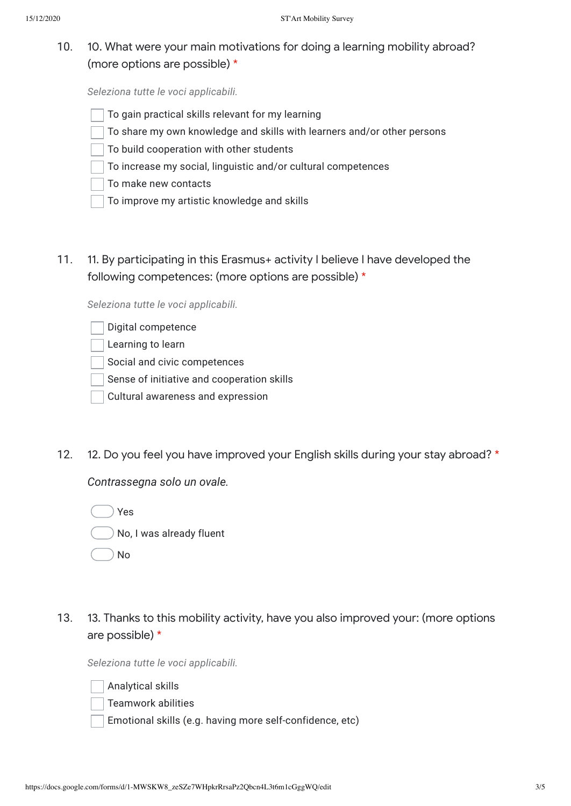10. 10. What were your main motivations for doing a learning mobility abroad? (more options are possible) \*

*Seleziona tutte le voci applicabili.*

- To gain practical skills relevant for my learning
- To share my own knowledge and skills with learners and/or other persons
- To build cooperation with other students
- To increase my social, linguistic and/or cultural competences
- To make new contacts
- To improve my artistic knowledge and skills
- 11. 11. By participating in this Erasmus+ activity I believe I have developed the following competences: (more options are possible) \*

*Seleziona tutte le voci applicabili.*

- Learning to learn
- Social and civic competences
- Sense of initiative and cooperation skills
- Cultural awareness and expression
- 12. 12. Do you feel you have improved your English skills during your stay abroad? \*

*Contrassegna solo un ovale.*

Yes No, I was already fluent

- No
- 13. 13. Thanks to this mobility activity, have you also improved your: (more options are possible) \*

*Seleziona tutte le voci applicabili.*

Analytical skills

Teamwork abilities

Emotional skills (e.g. having more self-confidence, etc)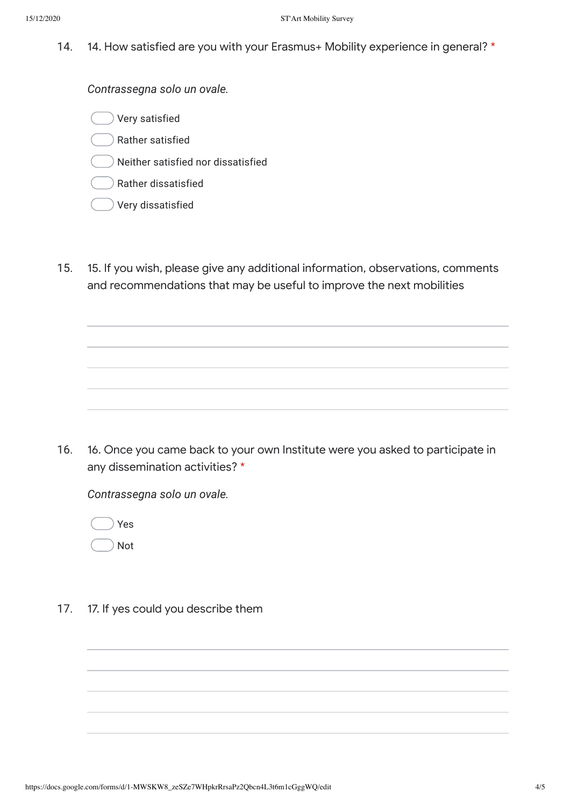14. 14. How satisfied are you with your Erasmus+ Mobility experience in general? \*

*Contrassegna solo un ovale.*

Very satisfied

Rather satisfied

) Neither satisfied nor dissatisfied

Rather dissatisfied

Very dissatisfied

15. 15. If you wish, please give any additional information, observations, comments and recommendations that may be useful to improve the next mobilities

16. 16. Once you came back to your own Institute were you asked to participate in any dissemination activities? \*

*Contrassegna solo un ovale.*

Yes Not

17. 17. If yes could you describe them